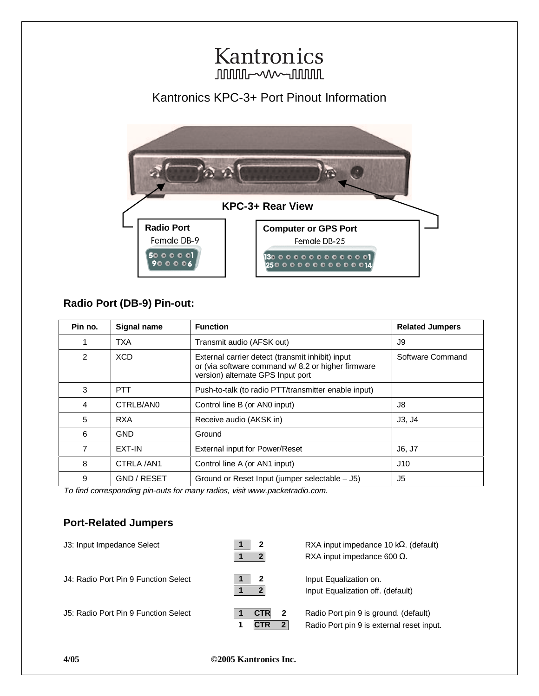# Kantronics **JUULUIL-WWW-JUULUL** Kantronics KPC-3+ Port Pinout Information  **KPC-3+ Rear View** Radio Port **Computer or GPS Port** Female DB-9 Female DB-25  $\overline{5000001}$  $\frac{1300000000000000}{25000000000000000}$

## **Radio Port (DB-9) Pin-out:**

 $900006$ 

| Pin no. | Signal name   | <b>Function</b>                                                                                                                             | <b>Related Jumpers</b> |
|---------|---------------|---------------------------------------------------------------------------------------------------------------------------------------------|------------------------|
|         | <b>TXA</b>    | Transmit audio (AFSK out)                                                                                                                   | J9                     |
| 2       | <b>XCD</b>    | External carrier detect (transmit inhibit) input<br>or (via software command w/ 8.2 or higher firmware<br>version) alternate GPS Input port | Software Command       |
| 3       | <b>PTT</b>    | Push-to-talk (to radio PTT/transmitter enable input)                                                                                        |                        |
| 4       | CTRLB/AN0     | Control line B (or AN0 input)                                                                                                               | J8.                    |
| 5       | <b>RXA</b>    | Receive audio (AKSK in)                                                                                                                     | J3, J4                 |
| 6       | <b>GND</b>    | Ground                                                                                                                                      |                        |
| 7       | <b>EXT-IN</b> | External input for Power/Reset                                                                                                              | J6, J7                 |
| 8       | CTRLA /AN1    | Control line A (or AN1 input)                                                                                                               | J10                    |
| 9       | GND / RESET   | Ground or Reset Input (jumper selectable - J5)                                                                                              | J5                     |

To find corresponding pin-outs for many radios, visit www.packetradio.com.

## **Port-Related Jumpers**

| J3: Input Impedance Select           | 2                                                       | RXA input impedance 10 k $\Omega$ . (default)<br>RXA input impedance 600 $\Omega$ . |
|--------------------------------------|---------------------------------------------------------|-------------------------------------------------------------------------------------|
| J4: Radio Port Pin 9 Function Select | $\mathbf 2$                                             | Input Equalization on.<br>Input Equalization off. (default)                         |
| J5: Radio Port Pin 9 Function Select | <b>CTR</b><br>$\overline{\mathbf{2}}$<br>$\overline{2}$ | Radio Port pin 9 is ground. (default)<br>Radio Port pin 9 is external reset input.  |

### **4/05 ©2005 Kantronics Inc.**